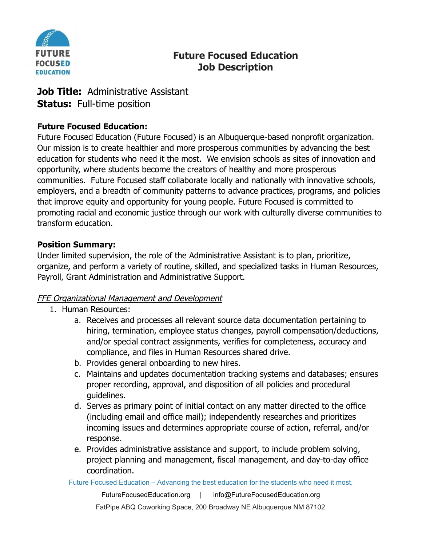

# **Future Focused Education Job Description**

## **Job Title:** Administrative Assistant **Status:** Full-time position

## **Future Focused Education:**

Future Focused Education (Future Focused) is an Albuquerque-based nonprofit organization. Our mission is to create healthier and more prosperous communities by advancing the best education for students who need it the most. We envision schools as sites of innovation and opportunity, where students become the creators of healthy and more prosperous communities. Future Focused staff collaborate locally and nationally with innovative schools, employers, and a breadth of community patterns to advance practices, programs, and policies that improve equity and opportunity for young people. Future Focused is committed to promoting racial and economic justice through our work with culturally diverse communities to transform education.

## **Position Summary:**

Under limited supervision, the role of the Administrative Assistant is to plan, prioritize, organize, and perform a variety of routine, skilled, and specialized tasks in Human Resources, Payroll, Grant Administration and Administrative Support.

## **FFE Organizational Management and Development**

- 1. Human Resources:
	- a. Receives and processes all relevant source data documentation pertaining to hiring, termination, employee status changes, payroll compensation/deductions, and/or special contract assignments, verifies for completeness, accuracy and compliance, and files in Human Resources shared drive.
	- b. Provides general onboarding to new hires.
	- c. Maintains and updates documentation tracking systems and databases; ensures proper recording, approval, and disposition of all policies and procedural guidelines.
	- d. Serves as primary point of initial contact on any matter directed to the office (including email and office mail); independently researches and prioritizes incoming issues and determines appropriate course of action, referral, and/or response.
	- e. Provides administrative assistance and support, to include problem solving, project planning and management, fiscal management, and day-to-day office coordination.

Future Focused Education – Advancing the best education for the students who need it most.

FutureFocusedEducation.org | info@FutureFocusedEducation.org FatPipe ABQ Coworking Space, 200 Broadway NE Albuquerque NM 87102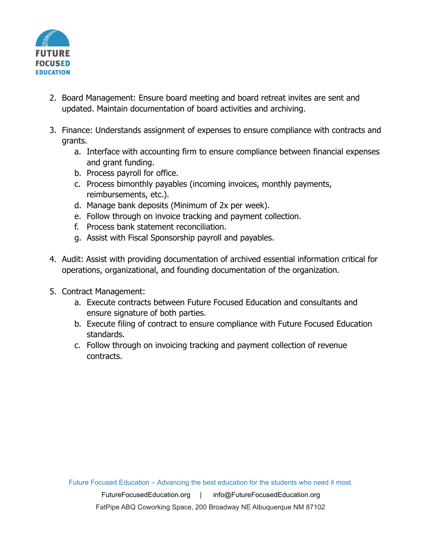

- 2. Board Management: Ensure board meeting and board retreat invites are sent and updated. Maintain documentation of board activities and archiving.
- 3. Finance: Understands assignment of expenses to ensure compliance with contracts and grants.
	- a. Interface with accounting firm to ensure compliance between financial expenses and grant funding.
	- b. Process payroll for office.
	- c. Process bimonthly payables (incoming invoices, monthly payments, reimbursements, etc.).
	- d. Manage bank deposits (Minimum of 2x per week).
	- e. Follow through on invoice tracking and payment collection.
	- f. Process bank statement reconciliation.
	- g. Assist with Fiscal Sponsorship payroll and payables.
- 4. Audit: Assist with providing documentation of archived essential information critical for operations, organizational, and founding documentation of the organization.
- 5. Contract Management:
	- a. Execute contracts between Future Focused Education and consultants and ensure signature of both parties.
	- b. Execute filing of contract to ensure compliance with Future Focused Education standards.
	- c. Follow through on invoicing tracking and payment collection of revenue contracts.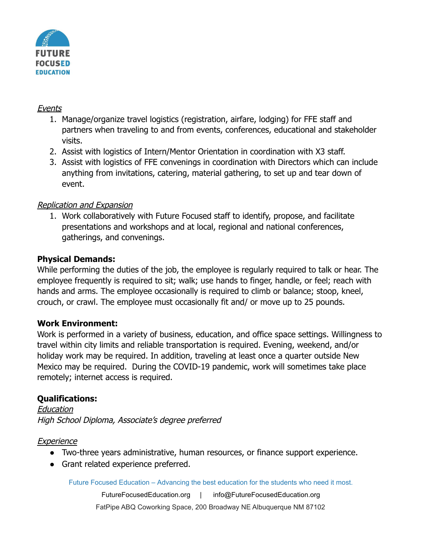

#### Events

- 1. Manage/organize travel logistics (registration, airfare, lodging) for FFE staff and partners when traveling to and from events, conferences, educational and stakeholder visits.
- 2. Assist with logistics of Intern/Mentor Orientation in coordination with X3 staff.
- 3. Assist with logistics of FFE convenings in coordination with Directors which can include anything from invitations, catering, material gathering, to set up and tear down of event.

### Replication and Expansion

1. Work collaboratively with Future Focused staff to identify, propose, and facilitate presentations and workshops and at local, regional and national conferences, gatherings, and convenings.

### **Physical Demands:**

While performing the duties of the job, the employee is regularly required to talk or hear. The employee frequently is required to sit; walk; use hands to finger, handle, or feel; reach with hands and arms. The employee occasionally is required to climb or balance; stoop, kneel, crouch, or crawl. The employee must occasionally fit and/ or move up to 25 pounds.

### **Work Environment:**

Work is performed in a variety of business, education, and office space settings. Willingness to travel within city limits and reliable transportation is required. Evening, weekend, and/or holiday work may be required. In addition, traveling at least once a quarter outside New Mexico may be required. During the COVID-19 pandemic, work will sometimes take place remotely; internet access is required.

### **Qualifications:**

**Education** High School Diploma, Associate's degree preferred

#### **Experience**

- Two-three years administrative, human resources, or finance support experience.
- Grant related experience preferred.

Future Focused Education – Advancing the best education for the students who need it most.

FutureFocusedEducation.org | info@FutureFocusedEducation.org FatPipe ABQ Coworking Space, 200 Broadway NE Albuquerque NM 87102